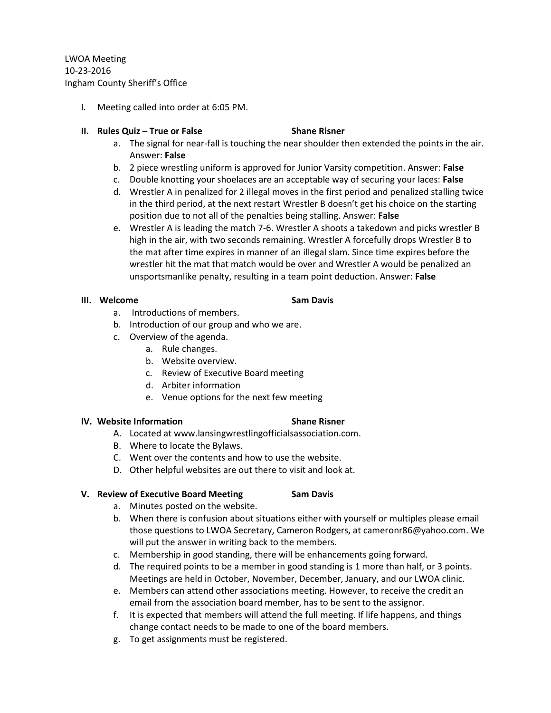LWOA Meeting 10-23-2016 Ingham County Sheriff's Office

- I. Meeting called into order at 6:05 PM.
- **II. Rules Quiz – True or False Shane Risner**
	- a. The signal for near-fall is touching the near shoulder then extended the points in the air. Answer: **False**
	- b. 2 piece wrestling uniform is approved for Junior Varsity competition. Answer: **False**
	- c. Double knotting your shoelaces are an acceptable way of securing your laces: **False**
	- d. Wrestler A in penalized for 2 illegal moves in the first period and penalized stalling twice in the third period, at the next restart Wrestler B doesn't get his choice on the starting position due to not all of the penalties being stalling. Answer: **False**
	- e. Wrestler A is leading the match 7-6. Wrestler A shoots a takedown and picks wrestler B high in the air, with two seconds remaining. Wrestler A forcefully drops Wrestler B to the mat after time expires in manner of an illegal slam. Since time expires before the wrestler hit the mat that match would be over and Wrestler A would be penalized an unsportsmanlike penalty, resulting in a team point deduction. Answer: **False**

### **III.** Welcome **Sam Davis**

- a. Introductions of members.
- b. Introduction of our group and who we are.
- c. Overview of the agenda.
	- a. Rule changes.
	- b. Website overview.
	- c. Review of Executive Board meeting
	- d. Arbiter information
	- e. Venue options for the next few meeting

### **IV.** Website Information **Shane Risner**

- A. Located at www.lansingwrestlingofficialsassociation.com.
- B. Where to locate the Bylaws.
- C. Went over the contents and how to use the website.
- D. Other helpful websites are out there to visit and look at.

### **V. Review of Executive Board Meeting Sam Davis**

- 
- a. Minutes posted on the website.
- b. When there is confusion about situations either with yourself or multiples please email those questions to LWOA Secretary, Cameron Rodgers, at cameronr86@yahoo.com. We will put the answer in writing back to the members.
- c. Membership in good standing, there will be enhancements going forward.
- d. The required points to be a member in good standing is 1 more than half, or 3 points. Meetings are held in October, November, December, January, and our LWOA clinic.
- e. Members can attend other associations meeting. However, to receive the credit an email from the association board member, has to be sent to the assignor.
- f. It is expected that members will attend the full meeting. If life happens, and things change contact needs to be made to one of the board members.
- g. To get assignments must be registered.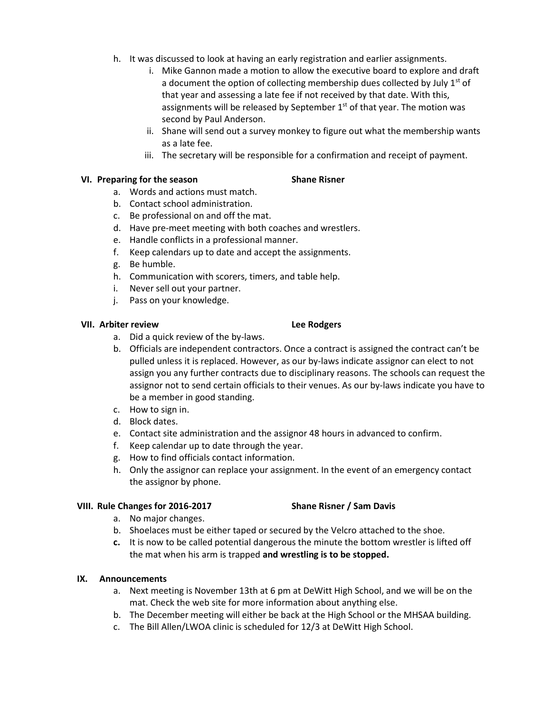- h. It was discussed to look at having an early registration and earlier assignments.
	- i. Mike Gannon made a motion to allow the executive board to explore and draft a document the option of collecting membership dues collected by July  $1<sup>st</sup>$  of that year and assessing a late fee if not received by that date. With this, assignments will be released by September  $1<sup>st</sup>$  of that year. The motion was second by Paul Anderson.
	- ii. Shane will send out a survey monkey to figure out what the membership wants as a late fee.
	- iii. The secretary will be responsible for a confirmation and receipt of payment.

# **VI. Preparing for the season Shane Risner**

- 
- a. Words and actions must match. b. Contact school administration.
- c. Be professional on and off the mat.
- d. Have pre-meet meeting with both coaches and wrestlers.
- e. Handle conflicts in a professional manner.
- f. Keep calendars up to date and accept the assignments.
- g. Be humble.
- h. Communication with scorers, timers, and table help.
- i. Never sell out your partner.
- j. Pass on your knowledge.

### **VII. Arbiter review Lee Rodgers**

- a. Did a quick review of the by-laws.
- b. Officials are independent contractors. Once a contract is assigned the contract can't be pulled unless it is replaced. However, as our by-laws indicate assignor can elect to not assign you any further contracts due to disciplinary reasons. The schools can request the assignor not to send certain officials to their venues. As our by-laws indicate you have to be a member in good standing.
- c. How to sign in.
- d. Block dates.
- e. Contact site administration and the assignor 48 hours in advanced to confirm.
- f. Keep calendar up to date through the year.
- g. How to find officials contact information.
- h. Only the assignor can replace your assignment. In the event of an emergency contact the assignor by phone.

### **VIII. Rule Changes for 2016-2017 Shane Risner / Sam Davis**

- a. No major changes.
- b. Shoelaces must be either taped or secured by the Velcro attached to the shoe.
- **c.** It is now to be called potential dangerous the minute the bottom wrestler is lifted off the mat when his arm is trapped **and wrestling is to be stopped.**

# **IX. Announcements**

- a. Next meeting is November 13th at 6 pm at DeWitt High School, and we will be on the mat. Check the web site for more information about anything else.
- b. The December meeting will either be back at the High School or the MHSAA building.
- c. The Bill Allen/LWOA clinic is scheduled for 12/3 at DeWitt High School.